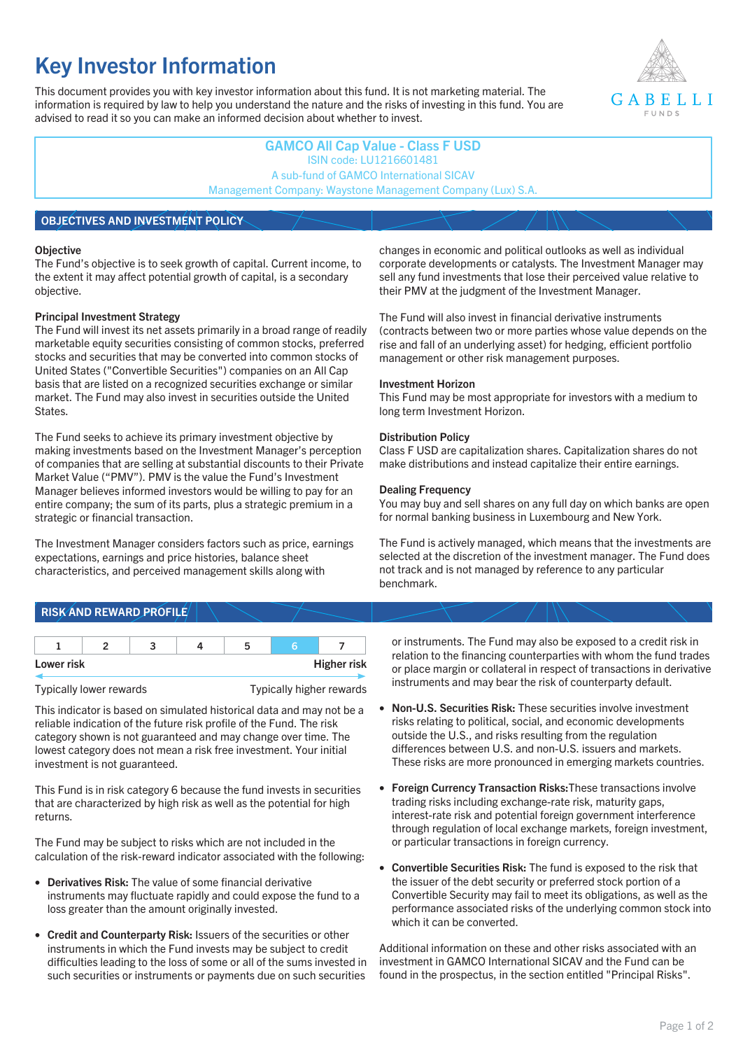# **Key Investor Information**

This document provides you with key investor information about this fund. It is not marketing material. The information is required by law to help you understand the nature and the risks of investing in this fund. You are advised to read it so you can make an informed decision about whether to invest.



## **GAMCO All Cap Value - Class F USD** ISIN code: LU1216601481 A sub-fund of GAMCO International SICAV Management Company: Waystone Management Company (Lux) S.A.

## **OBJECTIVES AND INVESTMENT POLICY**

#### **Objective**

The Fund's objective is to seek growth of capital. Current income, to the extent it may affect potential growth of capital, is a secondary objective.

#### **Principal Investment Strategy**

The Fund will invest its net assets primarily in a broad range of readily marketable equity securities consisting of common stocks, preferred stocks and securities that may be converted into common stocks of United States ("Convertible Securities") companies on an All Cap basis that are listed on a recognized securities exchange or similar market. The Fund may also invest in securities outside the United States.

The Fund seeks to achieve its primary investment objective by making investments based on the Investment Manager's perception of companies that are selling at substantial discounts to their Private Market Value ("PMV"). PMV is the value the Fund's Investment Manager believes informed investors would be willing to pay for an entire company; the sum of its parts, plus a strategic premium in a strategic or financial transaction.

The Investment Manager considers factors such as price, earnings expectations, earnings and price histories, balance sheet characteristics, and perceived management skills along with

#### changes in economic and political outlooks as well as individual corporate developments or catalysts. The Investment Manager may sell any fund investments that lose their perceived value relative to their PMV at the judgment of the Investment Manager.

The Fund will also invest in financial derivative instruments (contracts between two or more parties whose value depends on the rise and fall of an underlying asset) for hedging, efficient portfolio management or other risk management purposes.

#### **Investment Horizon**

This Fund may be most appropriate for investors with a medium to long term Investment Horizon.

#### **Distribution Policy**

Class F USD are capitalization shares. Capitalization shares do not make distributions and instead capitalize their entire earnings.

#### **Dealing Frequency**

You may buy and sell shares on any full day on which banks are open for normal banking business in Luxembourg and New York.

The Fund is actively managed, which means that the investments are selected at the discretion of the investment manager. The Fund does not track and is not managed by reference to any particular benchmark.

# **RISK AND REWARD PROFILE**

| Lower risk |  |  | <b>Higher risk</b> |
|------------|--|--|--------------------|

Typically lower rewards Typically higher rewards

This indicator is based on simulated historical data and may not be a reliable indication of the future risk profile of the Fund. The risk category shown is not guaranteed and may change over time. The lowest category does not mean a risk free investment. Your initial investment is not guaranteed.

This Fund is in risk category 6 because the fund invests in securities that are characterized by high risk as well as the potential for high returns.

The Fund may be subject to risks which are not included in the calculation of the risk-reward indicator associated with the following:

- **Derivatives Risk:** The value of some financial derivative instruments may fluctuate rapidly and could expose the fund to a loss greater than the amount originally invested.
- **Credit and Counterparty Risk:** Issuers of the securities or other instruments in which the Fund invests may be subject to credit difficulties leading to the loss of some or all of the sums invested in such securities or instruments or payments due on such securities

or instruments. The Fund may also be exposed to a credit risk in relation to the financing counterparties with whom the fund trades or place margin or collateral in respect of transactions in derivative instruments and may bear the risk of counterparty default.

- **Non-U.S. Securities Risk:** These securities involve investment risks relating to political, social, and economic developments outside the U.S., and risks resulting from the regulation differences between U.S. and non-U.S. issuers and markets. These risks are more pronounced in emerging markets countries.
- **Foreign Currency Transaction Risks:**These transactions involve trading risks including exchange-rate risk, maturity gaps, interest-rate risk and potential foreign government interference through regulation of local exchange markets, foreign investment, or particular transactions in foreign currency.
- **Convertible Securities Risk:** The fund is exposed to the risk that the issuer of the debt security or preferred stock portion of a Convertible Security may fail to meet its obligations, as well as the performance associated risks of the underlying common stock into which it can be converted.

Additional information on these and other risks associated with an investment in GAMCO International SICAV and the Fund can be found in the prospectus, in the section entitled "Principal Risks".